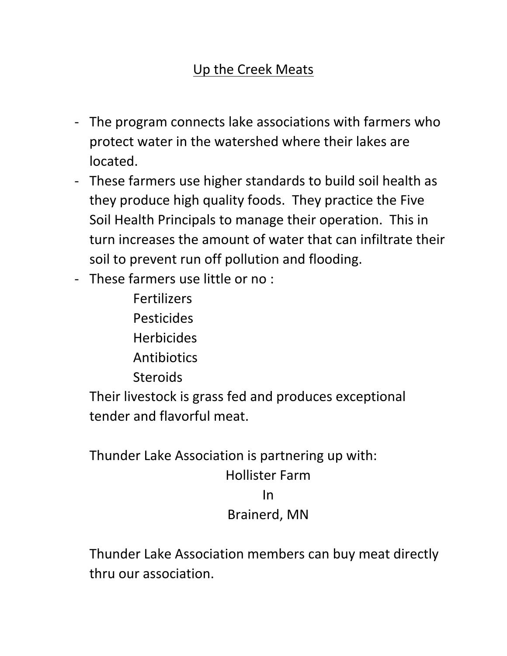## Up the Creek Meats

- The program connects lake associations with farmers who protect water in the watershed where their lakes are located.
- These farmers use higher standards to build soil health as they produce high quality foods. They practice the Five Soil Health Principals to manage their operation. This in turn increases the amount of water that can infiltrate their soil to prevent run off pollution and flooding.
- These farmers use little or no :
	- **Fertilizers** Pesticides **Herbicides Antibiotics**
	- Steroids

Their livestock is grass fed and produces exceptional tender and flavorful meat.

Thunder Lake Association is partnering up with: Hollister Farm In Brainerd, MN

Thunder Lake Association members can buy meat directly thru our association.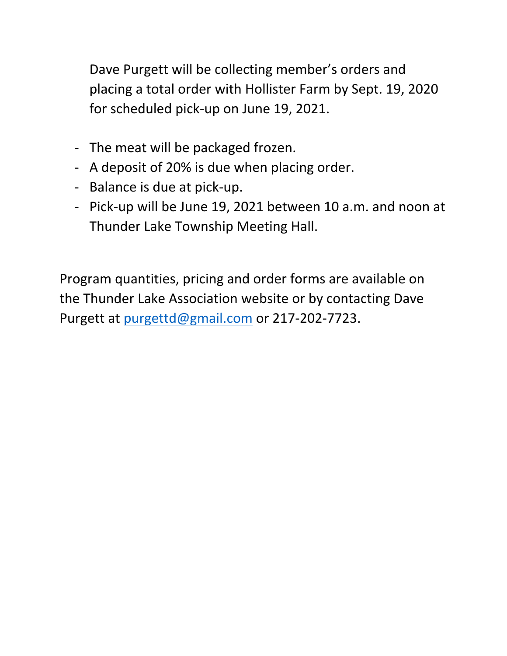Dave Purgett will be collecting member's orders and placing a total order with Hollister Farm by Sept. 19, 2020 for scheduled pick-up on June 19, 2021.

- The meat will be packaged frozen.
- A deposit of 20% is due when placing order.
- Balance is due at pick-up.
- Pick-up will be June 19, 2021 between 10 a.m. and noon at Thunder Lake Township Meeting Hall.

Program quantities, pricing and order forms are available on the Thunder Lake Association website or by contacting Dave Purgett at purgettd@gmail.com or 217-202-7723.